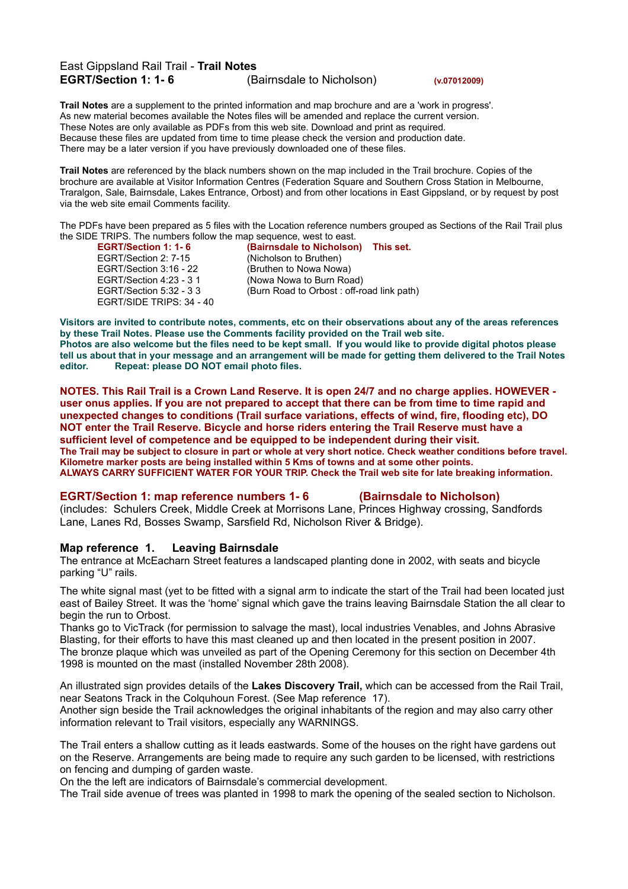## East Gippsland Rail Trail - **Trail Notes EGRT/Section 1: 1- 6** (Bairnsdale to Nicholson) **(v.07012009)**

**Trail Notes** are a supplement to the printed information and map brochure and are a 'work in progress'. As new material becomes available the Notes files will be amended and replace the current version. These Notes are only available as PDFs from this web site. Download and print as required. Because these files are updated from time to time please check the version and production date. There may be a later version if you have previously downloaded one of these files.

**Trail Notes** are referenced by the black numbers shown on the map included in the Trail brochure. Copies of the brochure are available at Visitor Information Centres (Federation Square and Southern Cross Station in Melbourne, Traralgon, Sale, Bairnsdale, Lakes Entrance, Orbost) and from other locations in East Gippsland, or by request by post via the web site email Comments facility.

The PDFs have been prepared as 5 files with the Location reference numbers grouped as Sections of the Rail Trail plus the SIDE TRIPS. The numbers follow the map sequence, west to east.<br>**EGRT/Section 1: 1-6** (Bairnsdale to Nicholsor

EGRT/Section 2: 7-15 (Nicholson to Bruthen) EGRT/Section 3:16 - 22 (Bruthen to Nowa Nowa) EGRT/Section 4:23 - 3 1 (Nowa Nowa to Burn Road) EGRT/SIDE TRIPS: 34 - 40

**EGRT/Section 1: 1- 6 (Bairnsdale to Nicholson) This set.** EGRT/Section 5:32 - 3 3 (Burn Road to Orbost : off-road link path)

Visitors are invited to contribute notes, comments, etc on their observations about any of the areas references **by these Trail Notes. Please use the Comments facility provided on the Trail web site.** Photos are also welcome but the files need to be kept small. If you would like to provide digital photos please tell us about that in your message and an arrangement will be made for getting them delivered to the Trail Notes **editor. Repeat: please DO NOT email photo files.**

NOTES. This Rail Trail is a Crown Land Reserve. It is open 24/7 and no charge applies. HOWEVER user onus applies. If you are not prepared to accept that there can be from time to time rapid and **unexpected changes to conditions (Trail surface variations, effects of wind, fire, flooding etc), DO NOT enter the Trail Reserve. Bicycle and horse riders entering the Trail Reserve must have a sufficient level of competence and be equipped to be independent during their visit.** The Trail may be subject to closure in part or whole at very short notice. Check weather conditions before travel. **Kilometre marker posts are being installed within 5 Kms of towns and at some other points. ALWAYS CARRY SUFFICIENT WATER FOR YOUR TRIP. Check the Trail web site for late breaking information.**

#### **EGRT/Section 1: map reference numbers 1- 6 (Bairnsdale to Nicholson)**

(includes: Schulers Creek, Middle Creek at Morrisons Lane, Princes Highway crossing, Sandfords Lane, Lanes Rd, Bosses Swamp, Sarsfield Rd, Nicholson River & Bridge).

## **Map reference 1. Leaving Bairnsdale**

The entrance at McEacharn Street features a landscaped planting done in 2002, with seats and bicycle parking "U" rails.

The white signal mast (yet to be fitted with a signal arm to indicate the start of the Trail had been located just east of Bailey Street. It was the 'home' signal which gave the trains leaving Bairnsdale Station the all clear to begin the run to Orbost.

Thanks go to VicTrack (for permission to salvage the mast), local industries Venables, and Johns Abrasive Blasting, for their efforts to have this mast cleaned up and then located in the present position in 2007. The bronze plaque which was unveiled as part of the Opening Ceremony for this section on December 4th 1998 is mounted on the mast (installed November 28th 2008).

An illustrated sign provides details of the **Lakes Discovery Trail,** which can be accessed from the Rail Trail, near Seatons Track in the Colquhoun Forest. (See Map reference 17).

Another sign beside the Trail acknowledges the original inhabitants of the region and may also carry other information relevant to Trail visitors, especially any WARNINGS.

The Trail enters a shallow cutting as it leads eastwards. Some of the houses on the right have gardens out on the Reserve. Arrangements are being made to require any such garden to be licensed, with restrictions on fencing and dumping of garden waste.

On the the left are indicators of Bairnsdale's commercial development.

The Trail side avenue of trees was planted in 1998 to mark the opening of the sealed section to Nicholson.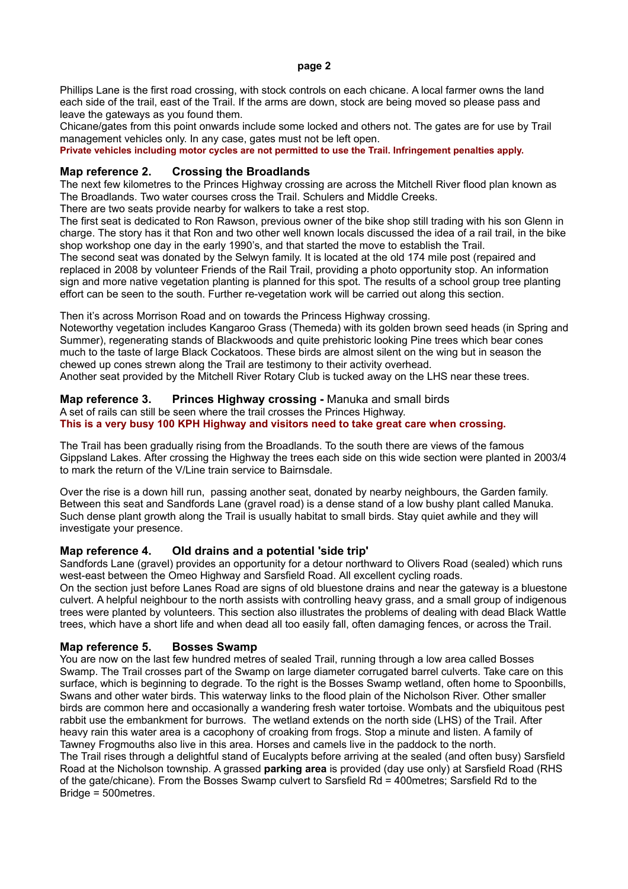Phillips Lane is the first road crossing, with stock controls on each chicane. A local farmer owns the land each side of the trail, east of the Trail. If the arms are down, stock are being moved so please pass and leave the gateways as you found them.

Chicane/gates from this point onwards include some locked and others not. The gates are for use by Trail management vehicles only. In any case, gates must not be left open.

**Private vehicles including motor cycles are not permitted to use the Trail. Infringement penalties apply.**

## **Map reference 2. Crossing the Broadlands**

The next few kilometres to the Princes Highway crossing are across the Mitchell River flood plan known as The Broadlands. Two water courses cross the Trail. Schulers and Middle Creeks.

There are two seats provide nearby for walkers to take a rest stop.

The first seat is dedicated to Ron Rawson, previous owner of the bike shop still trading with his son Glenn in charge. The story has it that Ron and two other well known locals discussed the idea of a rail trail, in the bike shop workshop one day in the early 1990's, and that started the move to establish the Trail.

The second seat was donated by the Selwyn family. It is located at the old 174 mile post (repaired and replaced in 2008 by volunteer Friends of the Rail Trail, providing a photo opportunity stop. An information sign and more native vegetation planting is planned for this spot. The results of a school group tree planting effort can be seen to the south. Further re-vegetation work will be carried out along this section.

Then it's across Morrison Road and on towards the Princess Highway crossing.

Noteworthy vegetation includes Kangaroo Grass (Themeda) with its golden brown seed heads (in Spring and Summer), regenerating stands of Blackwoods and quite prehistoric looking Pine trees which bear cones much to the taste of large Black Cockatoos. These birds are almost silent on the wing but in season the chewed up cones strewn along the Trail are testimony to their activity overhead. Another seat provided by the Mitchell River Rotary Club is tucked away on the LHS near these trees.

# **Map reference 3. Princes Highway crossing -** Manuka and small birds

A set of rails can still be seen where the trail crosses the Princes Highway.

### **This is a very busy 100 KPH Highway and visitors need to take great care when crossing.**

The Trail has been gradually rising from the Broadlands. To the south there are views of the famous Gippsland Lakes. After crossing the Highway the trees each side on this wide section were planted in 2003/4 to mark the return of the V/Line train service to Bairnsdale.

Over the rise is a down hill run, passing another seat, donated by nearby neighbours, the Garden family. Between this seat and Sandfords Lane (gravel road) is a dense stand of a low bushy plant called Manuka. Such dense plant growth along the Trail is usually habitat to small birds. Stay quiet awhile and they will investigate your presence.

## **Map reference 4. Old drains and a potential 'side trip'**

Sandfords Lane (gravel) provides an opportunity for a detour northward to Olivers Road (sealed) which runs west-east between the Omeo Highway and Sarsfield Road. All excellent cycling roads.

On the section just before Lanes Road are signs of old bluestone drains and near the gateway is a bluestone culvert. A helpful neighbour to the north assists with controlling heavy grass, and a small group of indigenous trees were planted by volunteers. This section also illustrates the problems of dealing with dead Black Wattle trees, which have a short life and when dead all too easily fall, often damaging fences, or across the Trail.

## **Map reference 5. Bosses Swamp**

You are now on the last few hundred metres of sealed Trail, running through a low area called Bosses Swamp. The Trail crosses part of the Swamp on large diameter corrugated barrel culverts. Take care on this surface, which is beginning to degrade. To the right is the Bosses Swamp wetland, often home to Spoonbills, Swans and other water birds. This waterway links to the flood plain of the Nicholson River. Other smaller birds are common here and occasionally a wandering fresh water tortoise. Wombats and the ubiquitous pest rabbit use the embankment for burrows. The wetland extends on the north side (LHS) of the Trail. After heavy rain this water area is a cacophony of croaking from frogs. Stop a minute and listen. A family of Tawney Frogmouths also live in this area. Horses and camels live in the paddock to the north. The Trail rises through a delightful stand of Eucalypts before arriving at the sealed (and often busy) Sarsfield Road at the Nicholson township. A grassed **parking area** is provided (day use only) at Sarsfield Road (RHS of the gate/chicane). From the Bosses Swamp culvert to Sarsfield Rd = 400metres; Sarsfield Rd to the  $Bridae = 500$ metres.